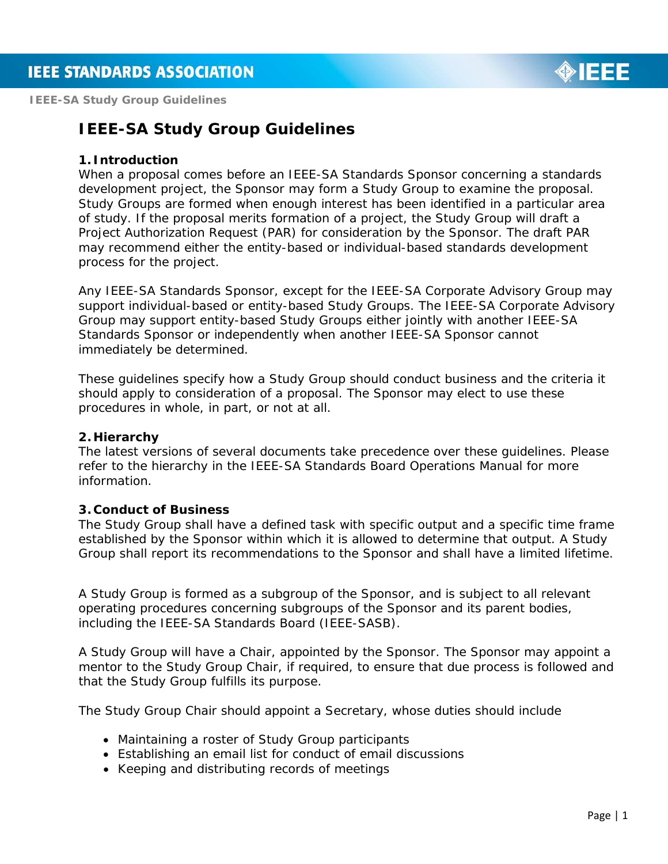

**IEEE-SA Study Group Guidelines** 

# **IEEE-SA Study Group Guidelines**

## **1. Introduction**

When a proposal comes before an IEEE-SA Standards Sponsor concerning a standards development project, the Sponsor may form a Study Group to examine the proposal. Study Groups are formed when enough interest has been identified in a particular area of study. If the proposal merits formation of a project, the Study Group will draft a Project Authorization Request (PAR) for consideration by the Sponsor. The draft PAR may recommend either the entity-based or individual-based standards development process for the project.

Any IEEE-SA Standards Sponsor, except for the IEEE-SA Corporate Advisory Group may support individual-based or entity-based Study Groups. The IEEE-SA Corporate Advisory Group may support entity-based Study Groups either jointly with another IEEE-SA Standards Sponsor or independently when another IEEE-SA Sponsor cannot immediately be determined.

These guidelines specify how a Study Group should conduct business and the criteria it should apply to consideration of a proposal. The Sponsor may elect to use these procedures in whole, in part, or not at all.

#### **2. Hierarchy**

The latest versions of several documents take precedence over these guidelines. Please refer to the hierarchy in the *IEEE-SA Standards Board Operations Manual* for more information.

#### **3. Conduct of Business**

The Study Group shall have a defined task with specific output and a specific time frame established by the Sponsor within which it is allowed to determine that output. A Study Group shall report its recommendations to the Sponsor and shall have a limited lifetime.

A Study Group is formed as a subgroup of the Sponsor, and is subject to all relevant operating procedures concerning subgroups of the Sponsor and its parent bodies, including the IEEE-SA Standards Board (IEEE-SASB).

A Study Group will have a Chair, appointed by the Sponsor. The Sponsor may appoint a mentor to the Study Group Chair, if required, to ensure that due process is followed and that the Study Group fulfills its purpose.

The Study Group Chair should appoint a Secretary, whose duties should include

- Maintaining a roster of Study Group participants
- Establishing an email list for conduct of email discussions
- Keeping and distributing records of meetings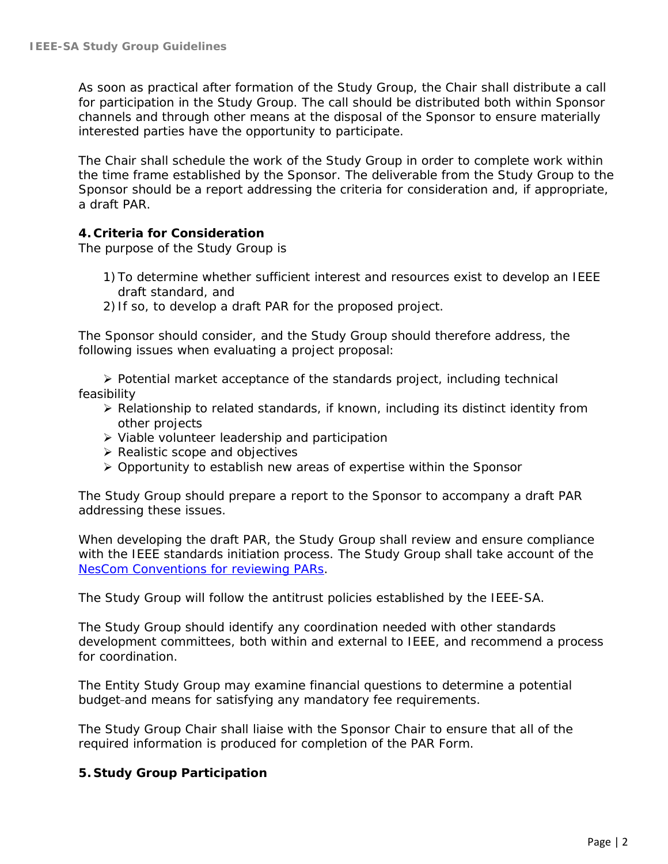As soon as practical after formation of the Study Group, the Chair shall distribute a call for participation in the Study Group. The call should be distributed both within Sponsor channels and through other means at the disposal of the Sponsor to ensure materially interested parties have the opportunity to participate.

The Chair shall schedule the work of the Study Group in order to complete work within the time frame established by the Sponsor. The deliverable from the Study Group to the Sponsor should be a report addressing the criteria for consideration and, if appropriate, a draft PAR.

# **4. Criteria for Consideration**

The purpose of the Study Group is

- 1)To determine whether sufficient interest and resources exist to develop an IEEE draft standard, and
- 2) If so, to develop a draft PAR for the proposed project.

The Sponsor should consider, and the Study Group should therefore address, the following issues when evaluating a project proposal:

 $\triangleright$  Potential market acceptance of the standards project, including technical feasibility

- $\triangleright$  Relationship to related standards, if known, including its distinct identity from other projects
- Viable volunteer leadership and participation
- $\triangleright$  Realistic scope and objectives
- $\triangleright$  Opportunity to establish new areas of expertise within the Sponsor

The Study Group should prepare a report to the Sponsor to accompany a draft PAR addressing these issues.

When developing the draft PAR, the Study Group shall review and ensure compliance with the IEEE standards initiation process. The Study Group shall take account of the [NesCom Conventions for reviewing PARs.](http://standards.ieee.org/about/sasb/nescom/conv.html)

The Study Group will follow the antitrust policies established by the IEEE-SA.

The Study Group should identify any coordination needed with other standards development committees, both within and external to IEEE, and recommend a process for coordination.

The Entity Study Group may examine financial questions to determine a potential budget-and means for satisfying any mandatory fee requirements.

The Study Group Chair shall liaise with the Sponsor Chair to ensure that all of the required information is produced for completion of the PAR Form.

# **5. Study Group Participation**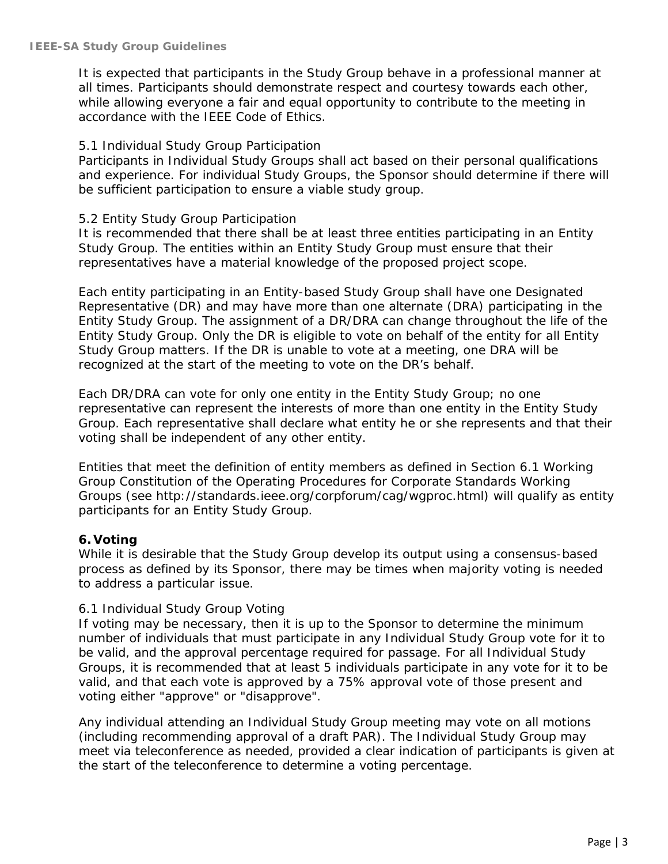It is expected that participants in the Study Group behave in a professional manner at all times. Participants should demonstrate respect and courtesy towards each other, while allowing everyone a fair and equal opportunity to contribute to the meeting in accordance with the IEEE Code of Ethics.

#### 5.1 Individual Study Group Participation

Participants in Individual Study Groups shall act based on their personal qualifications and experience. For individual Study Groups, the Sponsor should determine if there will be sufficient participation to ensure a viable study group.

#### 5.2 Entity Study Group Participation

It is recommended that there shall be at least three entities participating in an Entity Study Group. The entities within an Entity Study Group must ensure that their representatives have a material knowledge of the proposed project scope.

Each entity participating in an Entity-based Study Group shall have one Designated Representative (DR) and may have more than one alternate (DRA) participating in the Entity Study Group. The assignment of a DR/DRA can change throughout the life of the Entity Study Group. Only the DR is eligible to vote on behalf of the entity for all Entity Study Group matters. If the DR is unable to vote at a meeting, one DRA will be recognized at the start of the meeting to vote on the DR's behalf.

Each DR/DRA can vote for only one entity in the Entity Study Group; no one representative can represent the interests of more than one entity in the Entity Study Group. Each representative shall declare what entity he or she represents and that their voting shall be independent of any other entity.

Entities that meet the definition of entity members as defined in Section 6.1 Working Group Constitution of the *Operating Procedures for Corporate Standards Working Groups* (see http://standards.ieee.org/corpforum/cag/wgproc.html) will qualify as entity participants for an Entity Study Group.

# **6. Voting**

While it is desirable that the Study Group develop its output using a consensus-based process as defined by its Sponsor, there may be times when majority voting is needed to address a particular issue.

#### 6.1 Individual Study Group Voting

If voting may be necessary, then it is up to the Sponsor to determine the minimum number of individuals that must participate in any Individual Study Group vote for it to be valid, and the approval percentage required for passage. For all Individual Study Groups, it is recommended that at least 5 individuals participate in any vote for it to be valid, and that each vote is approved by a 75% approval vote of those present and voting either "approve" or "disapprove".

Any individual attending an Individual Study Group meeting may vote on all motions (including recommending approval of a draft PAR). The Individual Study Group may meet via teleconference as needed, provided a clear indication of participants is given at the start of the teleconference to determine a voting percentage.